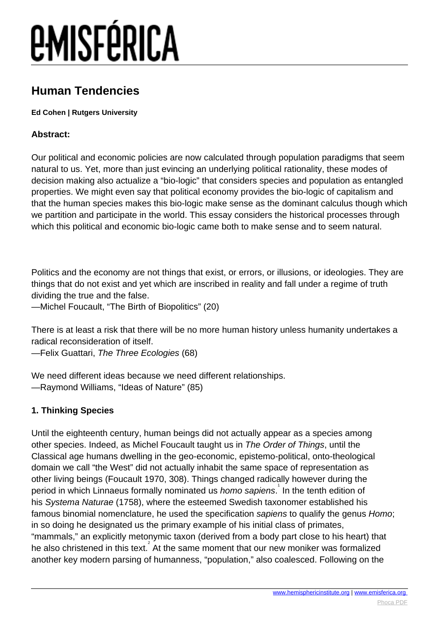#### **Human Tendencies**

#### **Ed Cohen | Rutgers University**

#### **Abstract:**

Our political and economic policies are now calculated through population paradigms that seem natural to us. Yet, more than just evincing an underlying political rationality, these modes of decision making also actualize a "bio-logic" that considers species and population as entangled properties. We might even say that political economy provides the bio-logic of capitalism and that the human species makes this bio-logic make sense as the dominant calculus though which we partition and participate in the world. This essay considers the historical processes through which this political and economic bio-logic came both to make sense and to seem natural.

Politics and the economy are not things that exist, or errors, or illusions, or ideologies. They are things that do not exist and yet which are inscribed in reality and fall under a regime of truth dividing the true and the false.

—Michel Foucault, "The Birth of Biopolitics" (20)

There is at least a risk that there will be no more human history unless humanity undertakes a radical reconsideration of itself.

—Felix Guattari, The Three Ecologies (68)

We need different ideas because we need different relationships. —Raymond Williams, "Ideas of Nature" (85)

#### **1. Thinking Species**

Until the eighteenth century, human beings did not actually appear as a species among other species. Indeed, as Michel Foucault taught us in The Order of Things, until the Classical age humans dwelling in the geo-economic, epistemo-political, onto-theological domain we call "the West" did not actually inhabit the same space of representation as other living beings (Foucault 1970, 308). Things changed radically however during the period in which Linnaeus formally nominated us homo sapiens. In the tenth edition of his Systema Naturae (1758), where the esteemed Swedish taxonomer established his famous binomial nomenclature, he used the specification sapiens to qualify the genus Homo; in so doing he designated us the primary example of his initial class of primates, "mammals," an explicitly metonymic taxon (derived from a body part close to his heart) that he also christened in this text. At the same moment that our new moniker was formalized another key modern parsing of humanness, "population," also coalesced. Following on the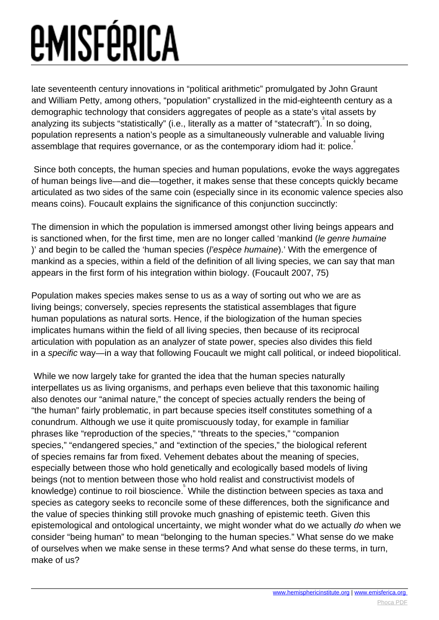late seventeenth century innovations in "political arithmetic" promulgated by John Graunt and William Petty, among others, "population" crystallized in the mid-eighteenth century as a demographic technology that considers aggregates of people as a state's vital assets by analyzing its subjects "statistically" (i.e., literally as a matter of "statecraft"). In so doing, population represents a nation's people as a simultaneously vulnerable and valuable living  $\overline{\phantom{a}}$  assemblage that requires governance, or as the contemporary idiom had it: police.

 Since both concepts, the human species and human populations, evoke the ways aggregates of human beings live—and die—together, it makes sense that these concepts quickly became articulated as two sides of the same coin (especially since in its economic valence species also means coins). Foucault explains the significance of this conjunction succinctly:

The dimension in which the population is immersed amongst other living beings appears and is sanctioned when, for the first time, men are no longer called 'mankind (le genre humaine )' and begin to be called the 'human species (l'espèce humaine).' With the emergence of mankind as a species, within a field of the definition of all living species, we can say that man appears in the first form of his integration within biology. (Foucault 2007, 75)

Population makes species makes sense to us as a way of sorting out who we are as living beings; conversely, species represents the statistical assemblages that figure human populations as natural sorts. Hence, if the biologization of the human species implicates humans within the field of all living species, then because of its reciprocal articulation with population as an analyzer of state power, species also divides this field in a specific way—in a way that following Foucault we might call political, or indeed biopolitical.

 While we now largely take for granted the idea that the human species naturally interpellates us as living organisms, and perhaps even believe that this taxonomic hailing also denotes our "animal nature," the concept of species actually renders the being of "the human" fairly problematic, in part because species itself constitutes something of a conundrum. Although we use it quite promiscuously today, for example in familiar phrases like "reproduction of the species," "threats to the species," "companion species," "endangered species," and "extinction of the species," the biological referent of species remains far from fixed. Vehement debates about the meaning of species, especially between those who hold genetically and ecologically based models of living beings (not to mention between those who hold realist and constructivist models of knowledge) continue to roil bioscience. While the distinction between species as taxa and species as category seeks to reconcile some of these differences, both the significance and the value of species thinking still provoke much gnashing of epistemic teeth. Given this epistemological and ontological uncertainty, we might wonder what do we actually do when we consider "being human" to mean "belonging to the human species." What sense do we make of ourselves when we make sense in these terms? And what sense do these terms, in turn, make of us?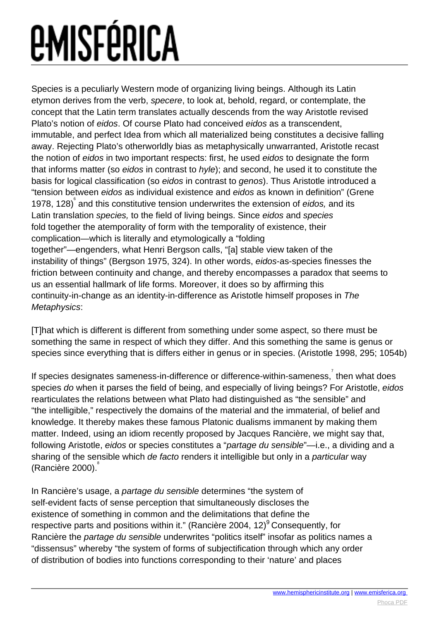Species is a peculiarly Western mode of organizing living beings. Although its Latin etymon derives from the verb, specere, to look at, behold, regard, or contemplate, the concept that the Latin term translates actually descends from the way Aristotle revised Plato's notion of eidos. Of course Plato had conceived eidos as a transcendent, immutable, and perfect Idea from which all materialized being constitutes a decisive falling away. Rejecting Plato's otherworldly bias as metaphysically unwarranted, Aristotle recast the notion of eidos in two important respects: first, he used eidos to designate the form that informs matter (so eidos in contrast to hyle); and second, he used it to constitute the basis for logical classification (so eidos in contrast to genos). Thus Aristotle introduced a "tension between eidos as individual existence and eidos as known in definition" (Grene 1978, 128)<sup>6</sup> and this constitutive tension underwrites the extension of eidos, and its Latin translation species, to the field of living beings. Since eidos and species fold together the atemporality of form with the temporality of existence, their complication—which is literally and etymologically a "folding together"—engenders, what Henri Bergson calls, "[a] stable view taken of the instability of things" (Bergson 1975, 324). In other words, eidos-as-species finesses the friction between continuity and change, and thereby encompasses a paradox that seems to us an essential hallmark of life forms. Moreover, it does so by affirming this continuity-in-change as an identity-in-difference as Aristotle himself proposes in The Metaphysics:

[T]hat which is different is different from something under some aspect, so there must be something the same in respect of which they differ. And this something the same is genus or species since everything that is differs either in genus or in species. (Aristotle 1998, 295; 1054b)

If species designates sameness-in-difference or difference-within-sameness, then what does species do when it parses the field of being, and especially of living beings? For Aristotle, eidos rearticulates the relations between what Plato had distinguished as "the sensible" and "the intelligible," respectively the domains of the material and the immaterial, of belief and knowledge. It thereby makes these famous Platonic dualisms immanent by making them matter. Indeed, using an idiom recently proposed by Jacques Rancière, we might say that, following Aristotle, eidos or species constitutes a "partage du sensible"—i.e., a dividing and a sharing of the sensible which de facto renders it intelligible but only in a particular way (Rancière 2000). 8

In Rancière's usage, a partage du sensible determines "the system of self-evident facts of sense perception that simultaneously discloses the existence of something in common and the delimitations that define the respective parts and positions within it." (Rancière 2004, 12)<sup>9</sup> Consequently, for Rancière the *partage du sensible* underwrites "politics itself" insofar as politics names a "dissensus" whereby "the system of forms of subjectification through which any order of distribution of bodies into functions corresponding to their 'nature' and places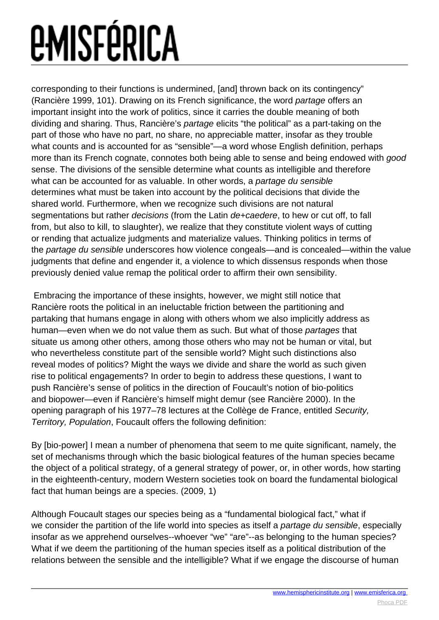corresponding to their functions is undermined, [and] thrown back on its contingency" (Rancière 1999, 101). Drawing on its French significance, the word partage offers an important insight into the work of politics, since it carries the double meaning of both dividing and sharing. Thus, Rancière's partage elicits "the political" as a part-taking on the part of those who have no part, no share, no appreciable matter, insofar as they trouble what counts and is accounted for as "sensible"—a word whose English definition, perhaps more than its French cognate, connotes both being able to sense and being endowed with good sense. The divisions of the sensible determine what counts as intelligible and therefore what can be accounted for as valuable. In other words, a partage du sensible determines what must be taken into account by the political decisions that divide the shared world. Furthermore, when we recognize such divisions are not natural segmentations but rather *decisions* (from the Latin *de+caedere*, to hew or cut off, to fall from, but also to kill, to slaughter), we realize that they constitute violent ways of cutting or rending that actualize judgments and materialize values. Thinking politics in terms of the partage du sensible underscores how violence congeals—and is concealed—within the value judgments that define and engender it, a violence to which dissensus responds when those previously denied value remap the political order to affirm their own sensibility.

 Embracing the importance of these insights, however, we might still notice that Rancière roots the political in an ineluctable friction between the partitioning and partaking that humans engage in along with others whom we also implicitly address as human—even when we do not value them as such. But what of those partages that situate us among other others, among those others who may not be human or vital, but who nevertheless constitute part of the sensible world? Might such distinctions also reveal modes of politics? Might the ways we divide and share the world as such given rise to political engagements? In order to begin to address these questions, I want to push Rancière's sense of politics in the direction of Foucault's notion of bio-politics and biopower—even if Rancière's himself might demur (see Rancière 2000). In the opening paragraph of his 1977–78 lectures at the Collège de France, entitled Security, Territory, Population, Foucault offers the following definition:

By [bio-power] I mean a number of phenomena that seem to me quite significant, namely, the set of mechanisms through which the basic biological features of the human species became the object of a political strategy, of a general strategy of power, or, in other words, how starting in the eighteenth-century, modern Western societies took on board the fundamental biological fact that human beings are a species. (2009, 1)

Although Foucault stages our species being as a "fundamental biological fact," what if we consider the partition of the life world into species as itself a *partage du sensible*, especially insofar as we apprehend ourselves--whoever "we" "are"--as belonging to the human species? What if we deem the partitioning of the human species itself as a political distribution of the relations between the sensible and the intelligible? What if we engage the discourse of human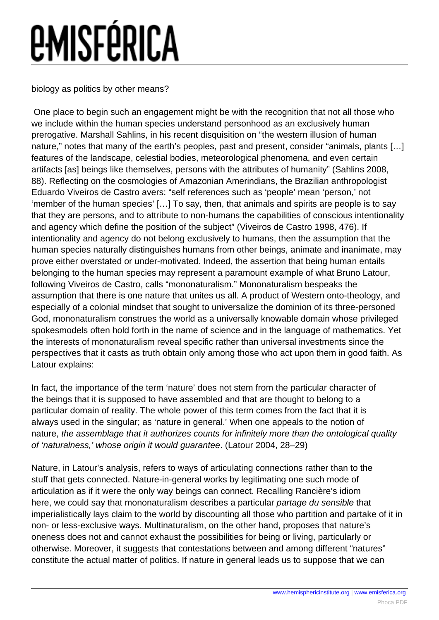biology as politics by other means?

 One place to begin such an engagement might be with the recognition that not all those who we include within the human species understand personhood as an exclusively human prerogative. Marshall Sahlins, in his recent disquisition on "the western illusion of human nature," notes that many of the earth's peoples, past and present, consider "animals, plants […] features of the landscape, celestial bodies, meteorological phenomena, and even certain artifacts [as] beings like themselves, persons with the attributes of humanity" (Sahlins 2008, 88). Reflecting on the cosmologies of Amazonian Amerindians, the Brazilian anthropologist Eduardo Viveiros de Castro avers: "self references such as 'people' mean 'person,' not 'member of the human species' […] To say, then, that animals and spirits are people is to say that they are persons, and to attribute to non-humans the capabilities of conscious intentionality and agency which define the position of the subject" (Viveiros de Castro 1998, 476). If intentionality and agency do not belong exclusively to humans, then the assumption that the human species naturally distinguishes humans from other beings, animate and inanimate, may prove either overstated or under-motivated. Indeed, the assertion that being human entails belonging to the human species may represent a paramount example of what Bruno Latour, following Viveiros de Castro, calls "mononaturalism." Mononaturalism bespeaks the assumption that there is one nature that unites us all. A product of Western onto-theology, and especially of a colonial mindset that sought to universalize the dominion of its three-personed God, mononaturalism construes the world as a universally knowable domain whose privileged spokesmodels often hold forth in the name of science and in the language of mathematics. Yet the interests of mononaturalism reveal specific rather than universal investments since the perspectives that it casts as truth obtain only among those who act upon them in good faith. As Latour explains:

In fact, the importance of the term 'nature' does not stem from the particular character of the beings that it is supposed to have assembled and that are thought to belong to a particular domain of reality. The whole power of this term comes from the fact that it is always used in the singular; as 'nature in general.' When one appeals to the notion of nature, the assemblage that it authorizes counts for infinitely more than the ontological quality of 'naturalness,' whose origin it would guarantee. (Latour 2004, 28–29)

Nature, in Latour's analysis, refers to ways of articulating connections rather than to the stuff that gets connected. Nature-in-general works by legitimating one such mode of articulation as if it were the only way beings can connect. Recalling Rancière's idiom here, we could say that mononaturalism describes a particular partage du sensible that imperialistically lays claim to the world by discounting all those who partition and partake of it in non- or less-exclusive ways. Multinaturalism, on the other hand, proposes that nature's oneness does not and cannot exhaust the possibilities for being or living, particularly or otherwise. Moreover, it suggests that contestations between and among different "natures" constitute the actual matter of politics. If nature in general leads us to suppose that we can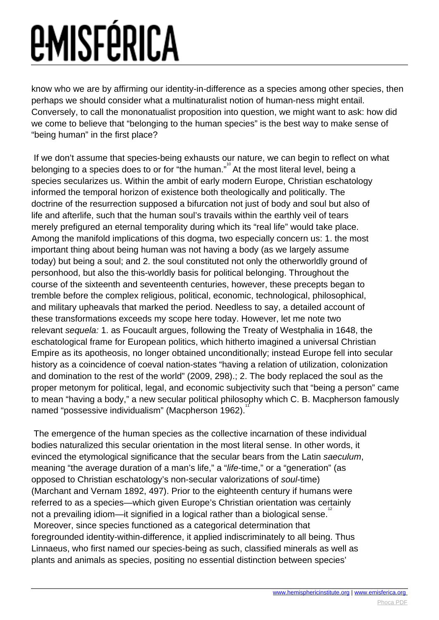know who we are by affirming our identity-in-difference as a species among other species, then perhaps we should consider what a multinaturalist notion of human-ness might entail. Conversely, to call the mononatualist proposition into question, we might want to ask: how did we come to believe that "belonging to the human species" is the best way to make sense of "being human" in the first place?

 If we don't assume that species-being exhausts our nature, we can begin to reflect on what belonging to a species does to or for "the human." At the most literal level, being a species secularizes us. Within the ambit of early modern Europe, Christian eschatology informed the temporal horizon of existence both theologically and politically. The doctrine of the resurrection supposed a bifurcation not just of body and soul but also of life and afterlife, such that the human soul's travails within the earthly veil of tears merely prefigured an eternal temporality during which its "real life" would take place. Among the manifold implications of this dogma, two especially concern us: 1. the most important thing about being human was not having a body (as we largely assume today) but being a soul; and 2. the soul constituted not only the otherworldly ground of personhood, but also the this-worldly basis for political belonging. Throughout the course of the sixteenth and seventeenth centuries, however, these precepts began to tremble before the complex religious, political, economic, technological, philosophical, and military upheavals that marked the period. Needless to say, a detailed account of these transformations exceeds my scope here today. However, let me note two relevant sequela: 1. as Foucault argues, following the Treaty of Westphalia in 1648, the eschatological frame for European politics, which hitherto imagined a universal Christian Empire as its apotheosis, no longer obtained unconditionally; instead Europe fell into secular history as a coincidence of coeval nation-states "having a relation of utilization, colonization and domination to the rest of the world" (2009, 298).; 2. The body replaced the soul as the proper metonym for political, legal, and economic subjectivity such that "being a person" came to mean "having a body," a new secular political philosophy which C. B. Macpherson famously named "possessive individualism" (Macpherson 1962).<sup>11</sup>

 The emergence of the human species as the collective incarnation of these individual bodies naturalized this secular orientation in the most literal sense. In other words, it evinced the etymological significance that the secular bears from the Latin saeculum, meaning "the average duration of a man's life," a "life-time," or a "generation" (as opposed to Christian eschatology's non-secular valorizations of soul-time) (Marchant and Vernam 1892, 497). Prior to the eighteenth century if humans were referred to as a species—which given Europe's Christian orientation was certainly not a prevailing idiom—it signified in a logical rather than a biological sense.<sup>12</sup> Moreover, since species functioned as a categorical determination that foregrounded identity-within-difference, it applied indiscriminately to all being. Thus Linnaeus, who first named our species-being as such, classified minerals as well as plants and animals as species, positing no essential distinction between species'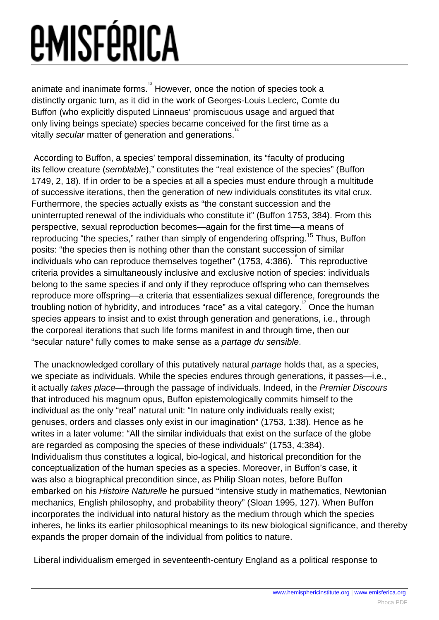animate and inanimate forms.<sup>13</sup> However, once the notion of species took a distinctly organic turn, as it did in the work of Georges-Louis Leclerc, Comte du Buffon (who explicitly disputed Linnaeus' promiscuous usage and argued that only living beings speciate) species became conceived for the first time as a vitally secular matter of generation and generations.<sup>14</sup>

 According to Buffon, a species' temporal dissemination, its "faculty of producing its fellow creature (semblable)," constitutes the "real existence of the species" (Buffon 1749, 2, 18). If in order to be a species at all a species must endure through a multitude of successive iterations, then the generation of new individuals constitutes its vital crux. Furthermore, the species actually exists as "the constant succession and the uninterrupted renewal of the individuals who constitute it" (Buffon 1753, 384). From this perspective, sexual reproduction becomes—again for the first time—a means of reproducing "the species," rather than simply of engendering offspring.<sup>15</sup> Thus, Buffon posits: "the species then is nothing other than the constant succession of similar .<br>individuals who can reproduce themselves together" (1753, 4:386). <sup>"6</sup> This reproductive criteria provides a simultaneously inclusive and exclusive notion of species: individuals belong to the same species if and only if they reproduce offspring who can themselves reproduce more offspring—a criteria that essentializes sexual difference, foregrounds the troubling notion of hybridity, and introduces "race" as a vital category.<sup>"</sup> Once the human species appears to insist and to exist through generation and generations, i.e., through the corporeal iterations that such life forms manifest in and through time, then our "secular nature" fully comes to make sense as a partage du sensible.

 The unacknowledged corollary of this putatively natural partage holds that, as a species, we speciate as individuals. While the species endures through generations, it passes—i.e., it actually takes place—through the passage of individuals. Indeed, in the Premier Discours that introduced his magnum opus, Buffon epistemologically commits himself to the individual as the only "real" natural unit: "In nature only individuals really exist; genuses, orders and classes only exist in our imagination" (1753, 1:38). Hence as he writes in a later volume: "All the similar individuals that exist on the surface of the globe are regarded as composing the species of these individuals" (1753, 4:384). Individualism thus constitutes a logical, bio-logical, and historical precondition for the conceptualization of the human species as a species. Moreover, in Buffon's case, it was also a biographical precondition since, as Philip Sloan notes, before Buffon embarked on his Histoire Naturelle he pursued "intensive study in mathematics, Newtonian mechanics, English philosophy, and probability theory" (Sloan 1995, 127). When Buffon incorporates the individual into natural history as the medium through which the species inheres, he links its earlier philosophical meanings to its new biological significance, and thereby expands the proper domain of the individual from politics to nature.

Liberal individualism emerged in seventeenth-century England as a political response to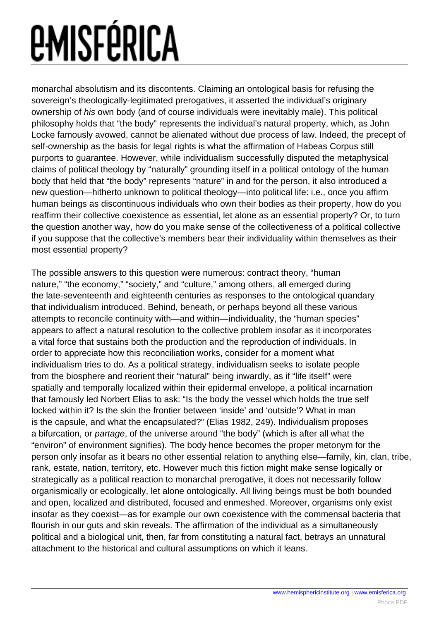monarchal absolutism and its discontents. Claiming an ontological basis for refusing the sovereign's theologically-legitimated prerogatives, it asserted the individual's originary ownership of his own body (and of course individuals were inevitably male). This political philosophy holds that "the body" represents the individual's natural property, which, as John Locke famously avowed, cannot be alienated without due process of law. Indeed, the precept of self-ownership as the basis for legal rights is what the affirmation of Habeas Corpus still purports to guarantee. However, while individualism successfully disputed the metaphysical claims of political theology by "naturally" grounding itself in a political ontology of the human body that held that "the body" represents "nature" in and for the person, it also introduced a new question—hitherto unknown to political theology—into political life: i.e., once you affirm human beings as discontinuous individuals who own their bodies as their property, how do you reaffirm their collective coexistence as essential, let alone as an essential property? Or, to turn the question another way, how do you make sense of the collectiveness of a political collective if you suppose that the collective's members bear their individuality within themselves as their most essential property?

The possible answers to this question were numerous: contract theory, "human nature," "the economy," "society," and "culture," among others, all emerged during the late-seventeenth and eighteenth centuries as responses to the ontological quandary that individualism introduced. Behind, beneath, or perhaps beyond all these various attempts to reconcile continuity with—and within—individuality, the "human species" appears to affect a natural resolution to the collective problem insofar as it incorporates a vital force that sustains both the production and the reproduction of individuals. In order to appreciate how this reconciliation works, consider for a moment what individualism tries to do. As a political strategy, individualism seeks to isolate people from the biosphere and reorient their "natural" being inwardly, as if "life itself" were spatially and temporally localized within their epidermal envelope, a political incarnation that famously led Norbert Elias to ask: "Is the body the vessel which holds the true self locked within it? Is the skin the frontier between 'inside' and 'outside'? What in man is the capsule, and what the encapsulated?" (Elias 1982, 249). Individualism proposes a bifurcation, or partage, of the universe around "the body" (which is after all what the "environ" of environment signifies). The body hence becomes the proper metonym for the person only insofar as it bears no other essential relation to anything else—family, kin, clan, tribe, rank, estate, nation, territory, etc. However much this fiction might make sense logically or strategically as a political reaction to monarchal prerogative, it does not necessarily follow organismically or ecologically, let alone ontologically. All living beings must be both bounded and open, localized and distributed, focused and enmeshed. Moreover, organisms only exist insofar as they coexist—as for example our own coexistence with the commensal bacteria that flourish in our guts and skin reveals. The affirmation of the individual as a simultaneously political and a biological unit, then, far from constituting a natural fact, betrays an unnatural attachment to the historical and cultural assumptions on which it leans.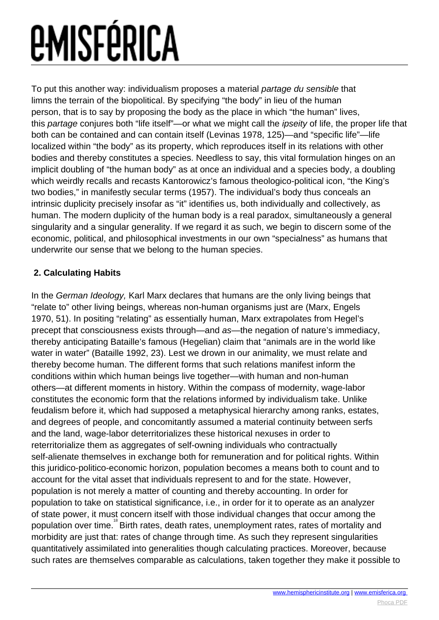To put this another way: individualism proposes a material partage du sensible that limns the terrain of the biopolitical. By specifying "the body" in lieu of the human person, that is to say by proposing the body as the place in which "the human" lives, this partage conjures both "life itself"—or what we might call the *ipseity* of life, the proper life that both can be contained and can contain itself (Levinas 1978, 125)—and "specific life"—life localized within "the body" as its property, which reproduces itself in its relations with other bodies and thereby constitutes a species. Needless to say, this vital formulation hinges on an implicit doubling of "the human body" as at once an individual and a species body, a doubling which weirdly recalls and recasts Kantorowicz's famous theologico-political icon, "the King's two bodies," in manifestly secular terms (1957). The individual's body thus conceals an intrinsic duplicity precisely insofar as "it" identifies us, both individually and collectively, as human. The modern duplicity of the human body is a real paradox, simultaneously a general singularity and a singular generality. If we regard it as such, we begin to discern some of the economic, political, and philosophical investments in our own "specialness" as humans that underwrite our sense that we belong to the human species.

#### **2. Calculating Habits**

In the German Ideology, Karl Marx declares that humans are the only living beings that "relate to" other living beings, whereas non-human organisms just are (Marx, Engels 1970, 51). In positing "relating" as essentially human, Marx extrapolates from Hegel's precept that consciousness exists through—and as—the negation of nature's immediacy, thereby anticipating Bataille's famous (Hegelian) claim that "animals are in the world like water in water" (Bataille 1992, 23). Lest we drown in our animality, we must relate and thereby become human. The different forms that such relations manifest inform the conditions within which human beings live together—with human and non-human others—at different moments in history. Within the compass of modernity, wage-labor constitutes the economic form that the relations informed by individualism take. Unlike feudalism before it, which had supposed a metaphysical hierarchy among ranks, estates, and degrees of people, and concomitantly assumed a material continuity between serfs and the land, wage-labor deterritorializes these historical nexuses in order to reterritorialize them as aggregates of self-owning individuals who contractually self-alienate themselves in exchange both for remuneration and for political rights. Within this juridico-politico-economic horizon, population becomes a means both to count and to account for the vital asset that individuals represent to and for the state. However, population is not merely a matter of counting and thereby accounting. In order for population to take on statistical significance, i.e., in order for it to operate as an analyzer of state power, it must concern itself with those individual changes that occur among the population over time. <sup>8</sup> Birth rates, death rates, unemployment rates, rates of mortality and morbidity are just that: rates of change through time. As such they represent singularities quantitatively assimilated into generalities though calculating practices. Moreover, because such rates are themselves comparable as calculations, taken together they make it possible to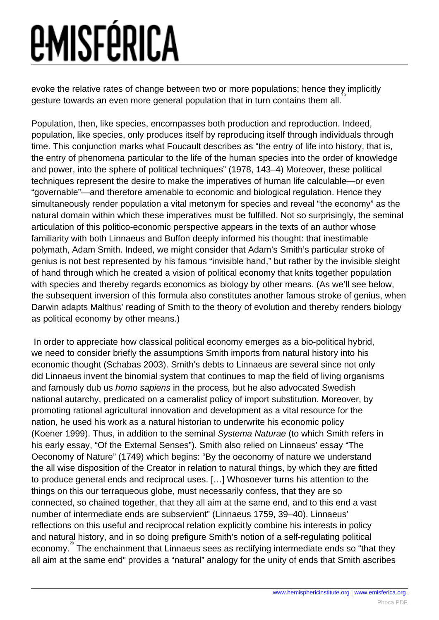evoke the relative rates of change between two or more populations; hence they implicitly gesture towards an even more general population that in turn contains them all.<sup>18</sup>

Population, then, like species, encompasses both production and reproduction. Indeed, population, like species, only produces itself by reproducing itself through individuals through time. This conjunction marks what Foucault describes as "the entry of life into history, that is, the entry of phenomena particular to the life of the human species into the order of knowledge and power, into the sphere of political techniques" (1978, 143–4) Moreover, these political techniques represent the desire to make the imperatives of human life calculable—or even "governable"—and therefore amenable to economic and biological regulation. Hence they simultaneously render population a vital metonym for species and reveal "the economy" as the natural domain within which these imperatives must be fulfilled. Not so surprisingly, the seminal articulation of this politico-economic perspective appears in the texts of an author whose familiarity with both Linnaeus and Buffon deeply informed his thought: that inestimable polymath, Adam Smith. Indeed, we might consider that Adam's Smith's particular stroke of genius is not best represented by his famous "invisible hand," but rather by the invisible sleight of hand through which he created a vision of political economy that knits together population with species and thereby regards economics as biology by other means. (As we'll see below, the subsequent inversion of this formula also constitutes another famous stroke of genius, when Darwin adapts Malthus' reading of Smith to the theory of evolution and thereby renders biology as political economy by other means.)

 In order to appreciate how classical political economy emerges as a bio-political hybrid, we need to consider briefly the assumptions Smith imports from natural history into his economic thought (Schabas 2003). Smith's debts to Linnaeus are several since not only did Linnaeus invent the binomial system that continues to map the field of living organisms and famously dub us homo sapiens in the process, but he also advocated Swedish national autarchy, predicated on a cameralist policy of import substitution. Moreover, by promoting rational agricultural innovation and development as a vital resource for the nation, he used his work as a natural historian to underwrite his economic policy (Koener 1999). Thus, in addition to the seminal Systema Naturae (to which Smith refers in his early essay, "Of the External Senses"). Smith also relied on Linnaeus' essay "The Oeconomy of Nature" (1749) which begins: "By the oeconomy of nature we understand the all wise disposition of the Creator in relation to natural things, by which they are fitted to produce general ends and reciprocal uses. […] Whosoever turns his attention to the things on this our terraqueous globe, must necessarily confess, that they are so connected, so chained together, that they all aim at the same end, and to this end a vast number of intermediate ends are subservient" (Linnaeus 1759, 39–40). Linnaeus' reflections on this useful and reciprocal relation explicitly combine his interests in policy and natural history, and in so doing prefigure Smith's notion of a self-regulating political economy.<sup>2</sup> The enchainment that Linnaeus sees as rectifying intermediate ends so "that they all aim at the same end" provides a "natural" analogy for the unity of ends that Smith ascribes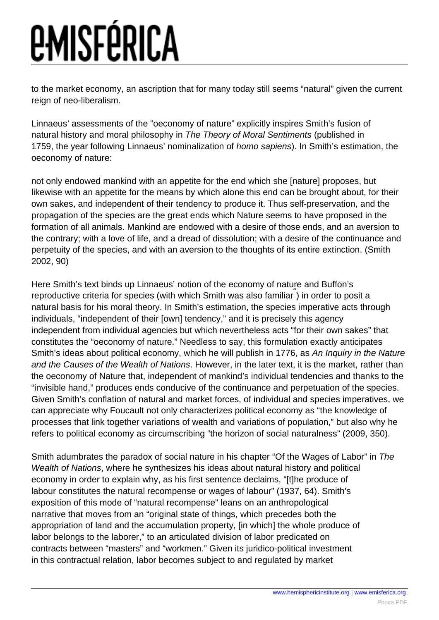to the market economy, an ascription that for many today still seems "natural" given the current reign of neo-liberalism.

Linnaeus' assessments of the "oeconomy of nature" explicitly inspires Smith's fusion of natural history and moral philosophy in The Theory of Moral Sentiments (published in 1759, the year following Linnaeus' nominalization of *homo sapiens*). In Smith's estimation, the oeconomy of nature:

not only endowed mankind with an appetite for the end which she [nature] proposes, but likewise with an appetite for the means by which alone this end can be brought about, for their own sakes, and independent of their tendency to produce it. Thus self-preservation, and the propagation of the species are the great ends which Nature seems to have proposed in the formation of all animals. Mankind are endowed with a desire of those ends, and an aversion to the contrary; with a love of life, and a dread of dissolution; with a desire of the continuance and perpetuity of the species, and with an aversion to the thoughts of its entire extinction. (Smith 2002, 90)

Here Smith's text binds up Linnaeus' notion of the economy of nature and Buffon's reproductive criteria for species (with which Smith was also familiar ) in order to posit a 21 natural basis for his moral theory. In Smith's estimation, the species imperative acts through individuals, "independent of their [own] tendency," and it is precisely this agency independent from individual agencies but which nevertheless acts "for their own sakes" that constitutes the "oeconomy of nature." Needless to say, this formulation exactly anticipates Smith's ideas about political economy, which he will publish in 1776, as An Inquiry in the Nature and the Causes of the Wealth of Nations. However, in the later text, it is the market, rather than the oeconomy of Nature that, independent of mankind's individual tendencies and thanks to the "invisible hand," produces ends conducive of the continuance and perpetuation of the species. Given Smith's conflation of natural and market forces, of individual and species imperatives, we can appreciate why Foucault not only characterizes political economy as "the knowledge of processes that link together variations of wealth and variations of population," but also why he refers to political economy as circumscribing "the horizon of social naturalness" (2009, 350).

Smith adumbrates the paradox of social nature in his chapter "Of the Wages of Labor" in The Wealth of Nations, where he synthesizes his ideas about natural history and political economy in order to explain why, as his first sentence declaims, "[t]he produce of labour constitutes the natural recompense or wages of labour" (1937, 64). Smith's exposition of this mode of "natural recompense" leans on an anthropological narrative that moves from an "original state of things, which precedes both the appropriation of land and the accumulation property, [in which] the whole produce of labor belongs to the laborer," to an articulated division of labor predicated on contracts between "masters" and "workmen." Given its juridico-political investment in this contractual relation, labor becomes subject to and regulated by market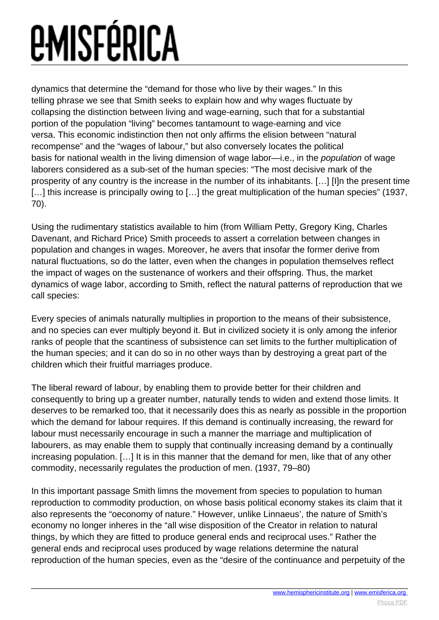dynamics that determine the "demand for those who live by their wages." In this telling phrase we see that Smith seeks to explain how and why wages fluctuate by collapsing the distinction between living and wage-earning, such that for a substantial portion of the population "living" becomes tantamount to wage-earning and vice versa. This economic indistinction then not only affirms the elision between "natural recompense" and the "wages of labour," but also conversely locates the political basis for national wealth in the living dimension of wage labor—i.e., in the population of wage laborers considered as a sub-set of the human species: "The most decisive mark of the prosperity of any country is the increase in the number of its inhabitants. […] [I]n the present time [...] this increase is principally owing to [...] the great multiplication of the human species" (1937, 70).

Using the rudimentary statistics available to him (from William Petty, Gregory King, Charles Davenant, and Richard Price) Smith proceeds to assert a correlation between changes in population and changes in wages. Moreover, he avers that insofar the former derive from natural fluctuations, so do the latter, even when the changes in population themselves reflect the impact of wages on the sustenance of workers and their offspring. Thus, the market dynamics of wage labor, according to Smith, reflect the natural patterns of reproduction that we call species:

Every species of animals naturally multiplies in proportion to the means of their subsistence, and no species can ever multiply beyond it. But in civilized society it is only among the inferior ranks of people that the scantiness of subsistence can set limits to the further multiplication of the human species; and it can do so in no other ways than by destroying a great part of the children which their fruitful marriages produce.

The liberal reward of labour, by enabling them to provide better for their children and consequently to bring up a greater number, naturally tends to widen and extend those limits. It deserves to be remarked too, that it necessarily does this as nearly as possible in the proportion which the demand for labour requires. If this demand is continually increasing, the reward for labour must necessarily encourage in such a manner the marriage and multiplication of labourers, as may enable them to supply that continually increasing demand by a continually increasing population. […] It is in this manner that the demand for men, like that of any other commodity, necessarily regulates the production of men. (1937, 79–80)

In this important passage Smith limns the movement from species to population to human reproduction to commodity production, on whose basis political economy stakes its claim that it also represents the "oeconomy of nature." However, unlike Linnaeus', the nature of Smith's economy no longer inheres in the "all wise disposition of the Creator in relation to natural things, by which they are fitted to produce general ends and reciprocal uses." Rather the general ends and reciprocal uses produced by wage relations determine the natural reproduction of the human species, even as the "desire of the continuance and perpetuity of the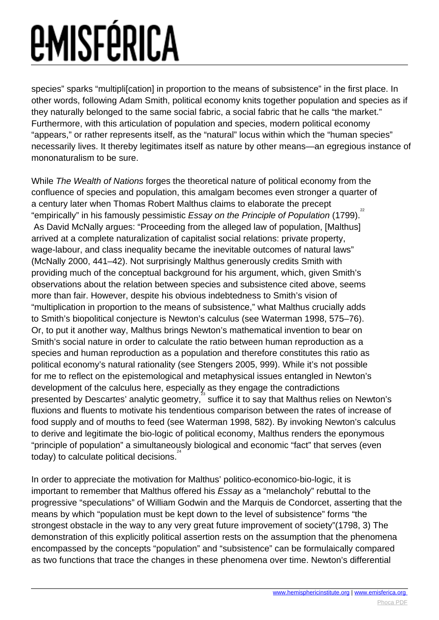species" sparks "multiplication] in proportion to the means of subsistence" in the first place. In other words, following Adam Smith, political economy knits together population and species as if they naturally belonged to the same social fabric, a social fabric that he calls "the market." Furthermore, with this articulation of population and species, modern political economy "appears," or rather represents itself, as the "natural" locus within which the "human species" necessarily lives. It thereby legitimates itself as nature by other means—an egregious instance of mononaturalism to be sure.

While The Wealth of Nations forges the theoretical nature of political economy from the confluence of species and population, this amalgam becomes even stronger a quarter of a century later when Thomas Robert Malthus claims to elaborate the precept "empirically" in his famously pessimistic Essay on the Principle of Population (1799). As David McNally argues: "Proceeding from the alleged law of population, [Malthus] arrived at a complete naturalization of capitalist social relations: private property, wage-labour, and class inequality became the inevitable outcomes of natural laws" (McNally 2000, 441–42). Not surprisingly Malthus generously credits Smith with providing much of the conceptual background for his argument, which, given Smith's observations about the relation between species and subsistence cited above, seems more than fair. However, despite his obvious indebtedness to Smith's vision of "multiplication in proportion to the means of subsistence," what Malthus crucially adds to Smith's biopolitical conjecture is Newton's calculus (see Waterman 1998, 575–76). Or, to put it another way, Malthus brings Newton's mathematical invention to bear on Smith's social nature in order to calculate the ratio between human reproduction as a species and human reproduction as a population and therefore constitutes this ratio as political economy's natural rationality (see Stengers 2005, 999). While it's not possible for me to reflect on the epistemological and metaphysical issues entangled in Newton's development of the calculus here, especially as they engage the contradictions presented by Descartes' analytic geometry, in suffice it to say that Malthus relies on Newton's fluxions and fluents to motivate his tendentious comparison between the rates of increase of food supply and of mouths to feed (see Waterman 1998, 582). By invoking Newton's calculus to derive and legitimate the bio-logic of political economy, Malthus renders the eponymous "principle of population" a simultaneously biological and economic "fact" that serves (even .<br>today) to calculate political decisions.<sup>24</sup>

In order to appreciate the motivation for Malthus' politico-economico-bio-logic, it is important to remember that Malthus offered his Essay as a "melancholy" rebuttal to the progressive "speculations" of William Godwin and the Marquis de Condorcet, asserting that the means by which "population must be kept down to the level of subsistence" forms "the strongest obstacle in the way to any very great future improvement of society"(1798, 3) The demonstration of this explicitly political assertion rests on the assumption that the phenomena encompassed by the concepts "population" and "subsistence" can be formulaically compared as two functions that trace the changes in these phenomena over time. Newton's differential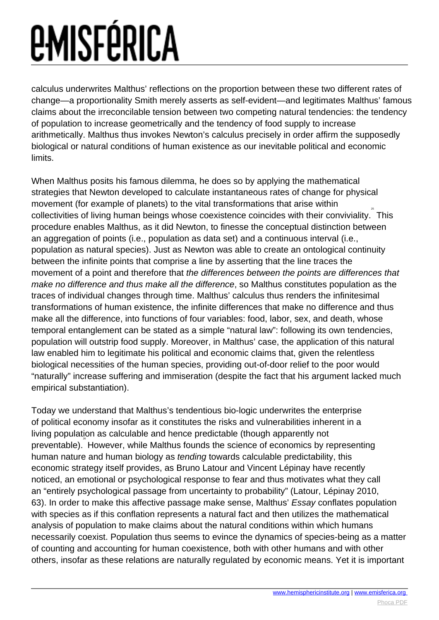calculus underwrites Malthus' reflections on the proportion between these two different rates of change—a proportionality Smith merely asserts as self-evident—and legitimates Malthus' famous claims about the irreconcilable tension between two competing natural tendencies: the tendency of population to increase geometrically and the tendency of food supply to increase arithmetically. Malthus thus invokes Newton's calculus precisely in order affirm the supposedly biological or natural conditions of human existence as our inevitable political and economic limits.

When Malthus posits his famous dilemma, he does so by applying the mathematical strategies that Newton developed to calculate instantaneous rates of change for physical movement (for example of planets) to the vital transformations that arise within collectivities of living human beings whose coexistence coincides with their conviviality. This 25 procedure enables Malthus, as it did Newton, to finesse the conceptual distinction between an aggregation of points (i.e., population as data set) and a continuous interval (i.e., population as natural species). Just as Newton was able to create an ontological continuity between the infinite points that comprise a line by asserting that the line traces the movement of a point and therefore that the differences between the points are differences that make no difference and thus make all the difference, so Malthus constitutes population as the traces of individual changes through time. Malthus' calculus thus renders the infinitesimal transformations of human existence, the infinite differences that make no difference and thus make all the difference, into functions of four variables: food, labor, sex, and death, whose temporal entanglement can be stated as a simple "natural law": following its own tendencies, population will outstrip food supply. Moreover, in Malthus' case, the application of this natural law enabled him to legitimate his political and economic claims that, given the relentless biological necessities of the human species, providing out-of-door relief to the poor would "naturally" increase suffering and immiseration (despite the fact that his argument lacked much empirical substantiation).

Today we understand that Malthus's tendentious bio-logic underwrites the enterprise of political economy insofar as it constitutes the risks and vulnerabilities inherent in a living population as calculable and hence predictable (though apparently not preventable). However, while Malthus founds the science of economics by representing 26 human nature and human biology as tending towards calculable predictability, this economic strategy itself provides, as Bruno Latour and Vincent Lépinay have recently noticed, an emotional or psychological response to fear and thus motivates what they call an "entirely psychological passage from uncertainty to probability" (Latour, Lépinay 2010, 63). In order to make this affective passage make sense, Malthus' Essay conflates population with species as if this conflation represents a natural fact and then utilizes the mathematical analysis of population to make claims about the natural conditions within which humans necessarily coexist. Population thus seems to evince the dynamics of species-being as a matter of counting and accounting for human coexistence, both with other humans and with other others, insofar as these relations are naturally regulated by economic means. Yet it is important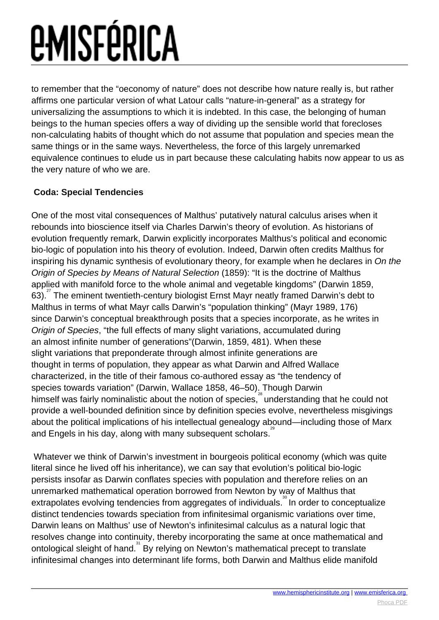to remember that the "oeconomy of nature" does not describe how nature really is, but rather affirms one particular version of what Latour calls "nature-in-general" as a strategy for universalizing the assumptions to which it is indebted. In this case, the belonging of human beings to the human species offers a way of dividing up the sensible world that forecloses non-calculating habits of thought which do not assume that population and species mean the same things or in the same ways. Nevertheless, the force of this largely unremarked equivalence continues to elude us in part because these calculating habits now appear to us as the very nature of who we are.

#### **Coda: Special Tendencies**

One of the most vital consequences of Malthus' putatively natural calculus arises when it rebounds into bioscience itself via Charles Darwin's theory of evolution. As historians of evolution frequently remark, Darwin explicitly incorporates Malthus's political and economic bio-logic of population into his theory of evolution. Indeed, Darwin often credits Malthus for inspiring his dynamic synthesis of evolutionary theory, for example when he declares in On the Origin of Species by Means of Natural Selection (1859): "It is the doctrine of Malthus applied with manifold force to the whole animal and vegetable kingdoms" (Darwin 1859, 63).<sup>27</sup> The eminent twentieth-century biologist Ernst Mayr neatly framed Darwin's debt to Malthus in terms of what Mayr calls Darwin's "population thinking" (Mayr 1989, 176) since Darwin's conceptual breakthrough posits that a species incorporate, as he writes in Origin of Species, "the full effects of many slight variations, accumulated during an almost infinite number of generations"(Darwin, 1859, 481). When these slight variations that preponderate through almost infinite generations are thought in terms of population, they appear as what Darwin and Alfred Wallace characterized, in the title of their famous co-authored essay as "the tendency of species towards variation" (Darwin, Wallace 1858, 46–50). Though Darwin himself was fairly nominalistic about the notion of species,<sup>28</sup> understanding that he could not provide a well-bounded definition since by definition species evolve, nevertheless misgivings about the political implications of his intellectual genealogy abound—including those of Marx and Engels in his day, along with many subsequent scholars.<sup>28</sup>

 Whatever we think of Darwin's investment in bourgeois political economy (which was quite literal since he lived off his inheritance), we can say that evolution's political bio-logic persists insofar as Darwin conflates species with population and therefore relies on an unremarked mathematical operation borrowed from Newton by way of Malthus that extrapolates evolving tendencies from aggregates of individuals.<sup>88</sup> In order to conceptualize distinct tendencies towards speciation from infinitesimal organismic variations over time, Darwin leans on Malthus' use of Newton's infinitesimal calculus as a natural logic that resolves change into continuity, thereby incorporating the same at once mathematical and ontological sleight of hand. <sup>31</sup> By relying on Newton's mathematical precept to translate infinitesimal changes into determinant life forms, both Darwin and Malthus elide manifold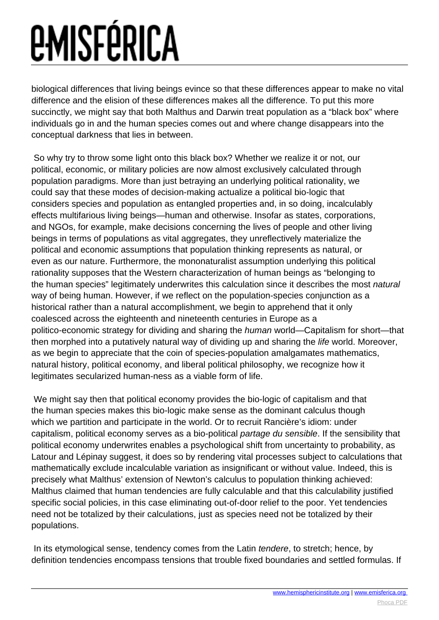biological differences that living beings evince so that these differences appear to make no vital difference and the elision of these differences makes all the difference. To put this more succinctly, we might say that both Malthus and Darwin treat population as a "black box" where individuals go in and the human species comes out and where change disappears into the conceptual darkness that lies in between.

 So why try to throw some light onto this black box? Whether we realize it or not, our political, economic, or military policies are now almost exclusively calculated through population paradigms. More than just betraying an underlying political rationality, we could say that these modes of decision-making actualize a political bio-logic that considers species and population as entangled properties and, in so doing, incalculably effects multifarious living beings—human and otherwise. Insofar as states, corporations, and NGOs, for example, make decisions concerning the lives of people and other living beings in terms of populations as vital aggregates, they unreflectively materialize the political and economic assumptions that population thinking represents as natural, or even as our nature. Furthermore, the mononaturalist assumption underlying this political rationality supposes that the Western characterization of human beings as "belonging to the human species" legitimately underwrites this calculation since it describes the most natural way of being human. However, if we reflect on the population-species conjunction as a historical rather than a natural accomplishment, we begin to apprehend that it only coalesced across the eighteenth and nineteenth centuries in Europe as a politico-economic strategy for dividing and sharing the human world—Capitalism for short—that then morphed into a putatively natural way of dividing up and sharing the life world. Moreover, as we begin to appreciate that the coin of species-population amalgamates mathematics, natural history, political economy, and liberal political philosophy, we recognize how it legitimates secularized human-ness as a viable form of life.

 We might say then that political economy provides the bio-logic of capitalism and that the human species makes this bio-logic make sense as the dominant calculus though which we partition and participate in the world. Or to recruit Rancière's idiom: under capitalism, political economy serves as a bio-political partage du sensible. If the sensibility that political economy underwrites enables a psychological shift from uncertainty to probability, as Latour and Lépinay suggest, it does so by rendering vital processes subject to calculations that mathematically exclude incalculable variation as insignificant or without value. Indeed, this is precisely what Malthus' extension of Newton's calculus to population thinking achieved: Malthus claimed that human tendencies are fully calculable and that this calculability justified specific social policies, in this case eliminating out-of-door relief to the poor. Yet tendencies need not be totalized by their calculations, just as species need not be totalized by their populations.

In its etymological sense, tendency comes from the Latin *tendere*, to stretch; hence, by definition tendencies encompass tensions that trouble fixed boundaries and settled formulas. If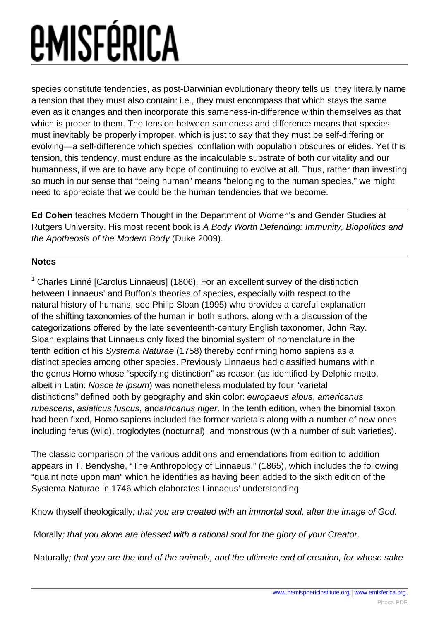species constitute tendencies, as post-Darwinian evolutionary theory tells us, they literally name a tension that they must also contain: i.e., they must encompass that which stays the same even as it changes and then incorporate this sameness-in-difference within themselves as that which is proper to them. The tension between sameness and difference means that species must inevitably be properly improper, which is just to say that they must be self-differing or evolving—a self-difference which species' conflation with population obscures or elides. Yet this tension, this tendency, must endure as the incalculable substrate of both our vitality and our humanness, if we are to have any hope of continuing to evolve at all. Thus, rather than investing so much in our sense that "being human" means "belonging to the human species," we might need to appreciate that we could be the human tendencies that we become.

**Ed Cohen** teaches Modern Thought in the Department of Women's and Gender Studies at Rutgers University. His most recent book is A Body Worth Defending: Immunity, Biopolitics and the Apotheosis of the Modern Body (Duke 2009).

#### **Notes**

<sup>1</sup> Charles Linné [Carolus Linnaeus] (1806). For an excellent survey of the distinction between Linnaeus' and Buffon's theories of species, especially with respect to the natural history of humans, see Philip Sloan (1995) who provides a careful explanation of the shifting taxonomies of the human in both authors, along with a discussion of the categorizations offered by the late seventeenth-century English taxonomer, John Ray. Sloan explains that Linnaeus only fixed the binomial system of nomenclature in the tenth edition of his Systema Naturae (1758) thereby confirming homo sapiens as a distinct species among other species. Previously Linnaeus had classified humans within the genus Homo whose "specifying distinction" as reason (as identified by Delphic motto, albeit in Latin: Nosce te ipsum) was nonetheless modulated by four "varietal distinctions" defined both by geography and skin color: europaeus albus, americanus rubescens, asiaticus fuscus, andafricanus niger. In the tenth edition, when the binomial taxon had been fixed, Homo sapiens included the former varietals along with a number of new ones including ferus (wild), troglodytes (nocturnal), and monstrous (with a number of sub varieties).

The classic comparison of the various additions and emendations from edition to addition appears in T. Bendyshe, "The Anthropology of Linnaeus," (1865), which includes the following "quaint note upon man" which he identifies as having been added to the sixth edition of the Systema Naturae in 1746 which elaborates Linnaeus' understanding:

Know thyself theologically; that you are created with an immortal soul, after the image of God.

Morally; that you alone are blessed with a rational soul for the glory of your Creator.

Naturally; that you are the lord of the animals, and the ultimate end of creation, for whose sake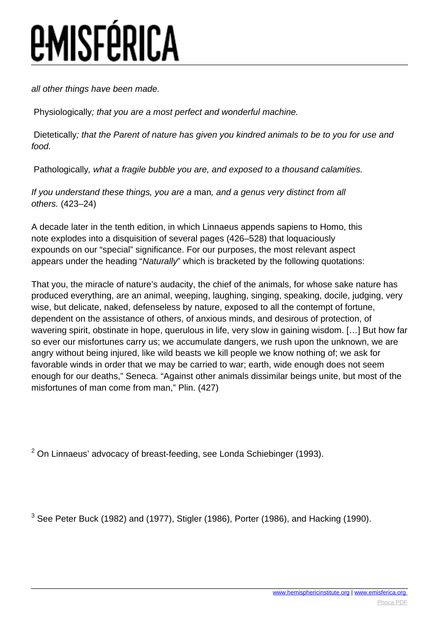all other things have been made.

Physiologically; that you are a most perfect and wonderful machine.

Dietetically; that the Parent of nature has given you kindred animals to be to you for use and food.

Pathologically, what a fragile bubble you are, and exposed to a thousand calamities.

If you understand these things, you are a man, and a genus very distinct from all others. (423–24)

A decade later in the tenth edition, in which Linnaeus appends sapiens to Homo, this note explodes into a disquisition of several pages (426–528) that loquaciously expounds on our "special" significance. For our purposes, the most relevant aspect appears under the heading "Naturally" which is bracketed by the following quotations:

That you, the miracle of nature's audacity, the chief of the animals, for whose sake nature has produced everything, are an animal, weeping, laughing, singing, speaking, docile, judging, very wise, but delicate, naked, defenseless by nature, exposed to all the contempt of fortune, dependent on the assistance of others, of anxious minds, and desirous of protection, of wavering spirit, obstinate in hope, querulous in life, very slow in gaining wisdom. […] But how far so ever our misfortunes carry us; we accumulate dangers, we rush upon the unknown, we are angry without being injured, like wild beasts we kill people we know nothing of; we ask for favorable winds in order that we may be carried to war; earth, wide enough does not seem enough for our deaths," Seneca. "Against other animals dissimilar beings unite, but most of the misfortunes of man come from man," Plin. (427)

 $2$  On Linnaeus' advocacy of breast-feeding, see Londa Schiebinger (1993).

 $3$  See Peter Buck (1982) and (1977), Stigler (1986), Porter (1986), and Hacking (1990).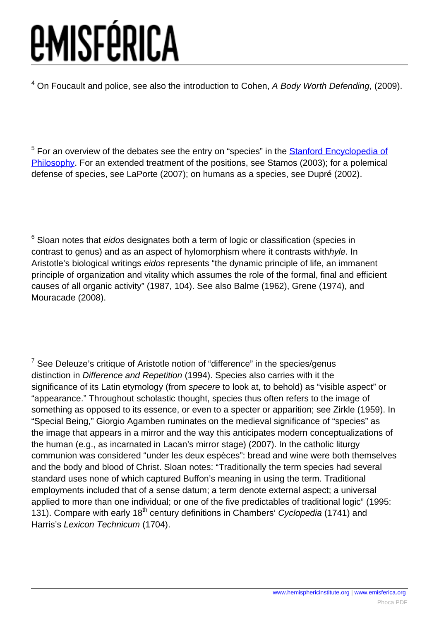$<sup>4</sup>$  On Foucault and police, see also the introduction to Cohen, A Body Worth Defending, (2009).</sup>

<sup>5</sup> For an overview of the debates see the entry on "species" in the **Stanford Encyclopedia of** [Philosophy](http://plato.stanford.edu/entries/species/). For an extended treatment of the positions, see Stamos (2003); for a polemical defense of species, see LaPorte (2007); on humans as a species, see Dupré (2002).

 $6$  Sloan notes that eidos designates both a term of logic or classification (species in contrast to genus) and as an aspect of hylomorphism where it contrasts withhyle. In Aristotle's biological writings eidos represents "the dynamic principle of life, an immanent principle of organization and vitality which assumes the role of the formal, final and efficient causes of all organic activity" (1987, 104). See also Balme (1962), Grene (1974), and Mouracade (2008).

 $7$  See Deleuze's critique of Aristotle notion of "difference" in the species/genus distinction in Difference and Repetition (1994). Species also carries with it the significance of its Latin etymology (from specere to look at, to behold) as "visible aspect" or "appearance." Throughout scholastic thought, species thus often refers to the image of something as opposed to its essence, or even to a specter or apparition; see Zirkle (1959). In "Special Being," Giorgio Agamben ruminates on the medieval significance of "species" as the image that appears in a mirror and the way this anticipates modern conceptualizations of the human (e.g., as incarnated in Lacan's mirror stage) (2007). In the catholic liturgy communion was considered "under les deux espèces": bread and wine were both themselves and the body and blood of Christ. Sloan notes: "Traditionally the term species had several standard uses none of which captured Buffon's meaning in using the term. Traditional employments included that of a sense datum; a term denote external aspect; a universal applied to more than one individual; or one of the five predictables of traditional logic" (1995: 131). Compare with early 18<sup>th</sup> century definitions in Chambers' Cyclopedia (1741) and Harris's Lexicon Technicum (1704).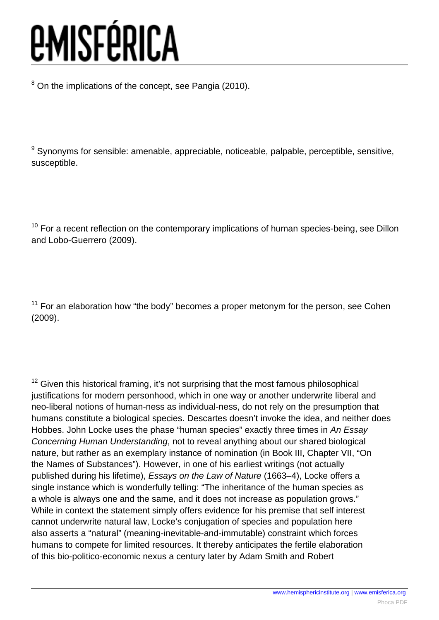$8$  On the implications of the concept, see Pangia (2010).

<sup>9</sup> Synonyms for sensible: amenable, appreciable, noticeable, palpable, perceptible, sensitive, susceptible.

 $10$  For a recent reflection on the contemporary implications of human species-being, see Dillon and Lobo-Guerrero (2009).

 $11$  For an elaboration how "the body" becomes a proper metonym for the person, see Cohen (2009).

 $12$  Given this historical framing, it's not surprising that the most famous philosophical justifications for modern personhood, which in one way or another underwrite liberal and neo-liberal notions of human-ness as individual-ness, do not rely on the presumption that humans constitute a biological species. Descartes doesn't invoke the idea, and neither does Hobbes. John Locke uses the phase "human species" exactly three times in An Essay Concerning Human Understanding, not to reveal anything about our shared biological nature, but rather as an exemplary instance of nomination (in Book III, Chapter VII, "On the Names of Substances"). However, in one of his earliest writings (not actually published during his lifetime), Essays on the Law of Nature (1663–4), Locke offers a single instance which is wonderfully telling: "The inheritance of the human species as a whole is always one and the same, and it does not increase as population grows." While in context the statement simply offers evidence for his premise that self interest cannot underwrite natural law, Locke's conjugation of species and population here also asserts a "natural" (meaning-inevitable-and-immutable) constraint which forces humans to compete for limited resources. It thereby anticipates the fertile elaboration of this bio-politico-economic nexus a century later by Adam Smith and Robert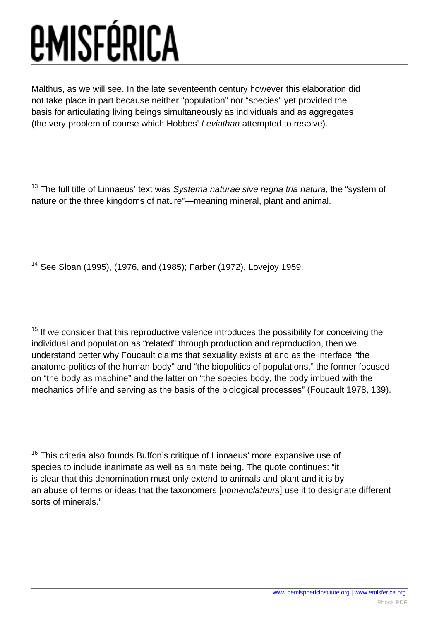Malthus, as we will see. In the late seventeenth century however this elaboration did not take place in part because neither "population" nor "species" yet provided the basis for articulating living beings simultaneously as individuals and as aggregates (the very problem of course which Hobbes' Leviathan attempted to resolve).

 $13$  The full title of Linnaeus' text was Systema naturae sive regna tria natura, the "system of nature or the three kingdoms of nature"—meaning mineral, plant and animal.

<sup>14</sup> See Sloan (1995), (1976, and (1985); Farber (1972), Lovejoy 1959.

 $15$  If we consider that this reproductive valence introduces the possibility for conceiving the individual and population as "related" through production and reproduction, then we understand better why Foucault claims that sexuality exists at and as the interface "the anatomo-politics of the human body" and "the biopolitics of populations," the former focused on "the body as machine" and the latter on "the species body, the body imbued with the mechanics of life and serving as the basis of the biological processes" (Foucault 1978, 139).

 $16$  This criteria also founds Buffon's critique of Linnaeus' more expansive use of species to include inanimate as well as animate being. The quote continues: "it is clear that this denomination must only extend to animals and plant and it is by an abuse of terms or ideas that the taxonomers [nomenclateurs] use it to designate different sorts of minerals."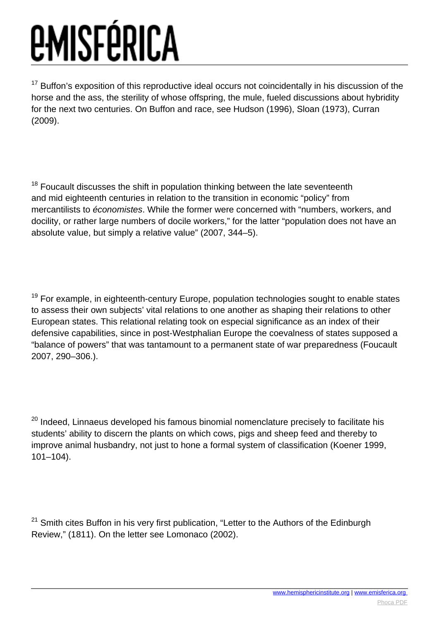<sup>17</sup> Buffon's exposition of this reproductive ideal occurs not coincidentally in his discussion of the horse and the ass, the sterility of whose offspring, the mule, fueled discussions about hybridity for the next two centuries. On Buffon and race, see Hudson (1996), Sloan (1973), Curran (2009).

 $18$  Foucault discusses the shift in population thinking between the late seventeenth and mid eighteenth centuries in relation to the transition in economic "policy" from mercantilists to économistes. While the former were concerned with "numbers, workers, and docility, or rather large numbers of docile workers," for the latter "population does not have an absolute value, but simply a relative value" (2007, 344–5).

 $19$  For example, in eighteenth-century Europe, population technologies sought to enable states to assess their own subjects' vital relations to one another as shaping their relations to other European states. This relational relating took on especial significance as an index of their defensive capabilities, since in post-Westphalian Europe the coevalness of states supposed a "balance of powers" that was tantamount to a permanent state of war preparedness (Foucault 2007, 290–306.).

<sup>20</sup> Indeed, Linnaeus developed his famous binomial nomenclature precisely to facilitate his students' ability to discern the plants on which cows, pigs and sheep feed and thereby to improve animal husbandry, not just to hone a formal system of classification (Koener 1999, 101–104).

 $21$  Smith cites Buffon in his very first publication, "Letter to the Authors of the Edinburgh Review," (1811). On the letter see Lomonaco (2002).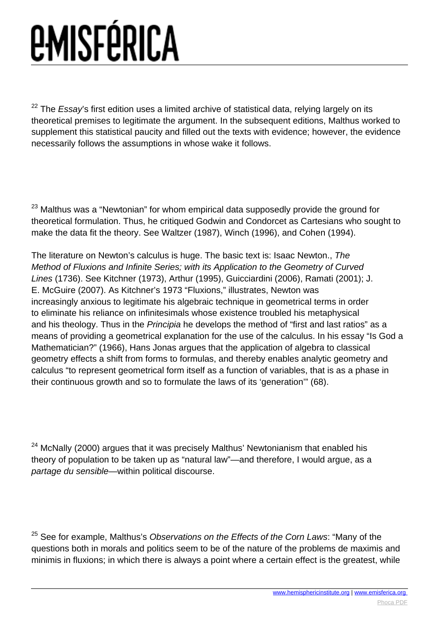$22$  The Essay's first edition uses a limited archive of statistical data, relying largely on its theoretical premises to legitimate the argument. In the subsequent editions, Malthus worked to supplement this statistical paucity and filled out the texts with evidence; however, the evidence necessarily follows the assumptions in whose wake it follows.

 $23$  Malthus was a "Newtonian" for whom empirical data supposedly provide the ground for theoretical formulation. Thus, he critiqued Godwin and Condorcet as Cartesians who sought to make the data fit the theory. See Waltzer (1987), Winch (1996), and Cohen (1994).

The literature on Newton's calculus is huge. The basic text is: Isaac Newton., The Method of Fluxions and Infinite Series; with its Application to the Geometry of Curved Lines (1736). See Kitchner (1973), Arthur (1995), Guicciardini (2006), Ramati (2001); J. E. McGuire (2007). As Kitchner's 1973 "Fluxions," illustrates, Newton was increasingly anxious to legitimate his algebraic technique in geometrical terms in order to eliminate his reliance on infinitesimals whose existence troubled his metaphysical and his theology. Thus in the Principia he develops the method of "first and last ratios" as a means of providing a geometrical explanation for the use of the calculus. In his essay "Is God a Mathematician?" (1966), Hans Jonas argues that the application of algebra to classical geometry effects a shift from forms to formulas, and thereby enables analytic geometry and calculus "to represent geometrical form itself as a function of variables, that is as a phase in their continuous growth and so to formulate the laws of its 'generation'" (68).

 $24$  McNally (2000) argues that it was precisely Malthus' Newtonianism that enabled his theory of population to be taken up as "natural law"—and therefore, I would argue, as a partage du sensible—within political discourse.

 $25$  See for example, Malthus's Observations on the Effects of the Corn Laws: "Many of the questions both in morals and politics seem to be of the nature of the problems de maximis and minimis in fluxions; in which there is always a point where a certain effect is the greatest, while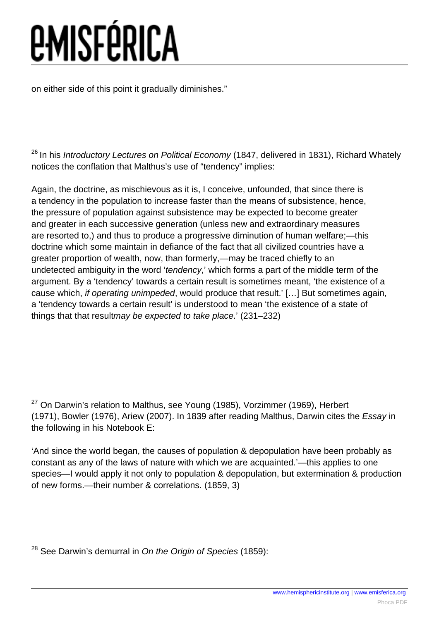on either side of this point it gradually diminishes."

 $26$  In his Introductory Lectures on Political Economy (1847, delivered in 1831), Richard Whately notices the conflation that Malthus's use of "tendency" implies:

Again, the doctrine, as mischievous as it is, I conceive, unfounded, that since there is a tendency in the population to increase faster than the means of subsistence, hence, the pressure of population against subsistence may be expected to become greater and greater in each successive generation (unless new and extraordinary measures are resorted to,) and thus to produce a progressive diminution of human welfare;—this doctrine which some maintain in defiance of the fact that all civilized countries have a greater proportion of wealth, now, than formerly,—may be traced chiefly to an undetected ambiguity in the word 'tendency,' which forms a part of the middle term of the argument. By a 'tendency' towards a certain result is sometimes meant, 'the existence of a cause which, if operating unimpeded, would produce that result.' […] But sometimes again, a 'tendency towards a certain result' is understood to mean 'the existence of a state of things that that resultmay be expected to take place.' (231–232)

 $27$  On Darwin's relation to Malthus, see Young (1985), Vorzimmer (1969), Herbert (1971), Bowler (1976), Ariew (2007). In 1839 after reading Malthus, Darwin cites the Essay in the following in his Notebook E:

'And since the world began, the causes of population & depopulation have been probably as constant as any of the laws of nature with which we are acquainted.'—this applies to one species—I would apply it not only to population & depopulation, but extermination & production of new forms.—their number & correlations. (1859, 3)

 $28$  See Darwin's demurral in On the Origin of Species (1859):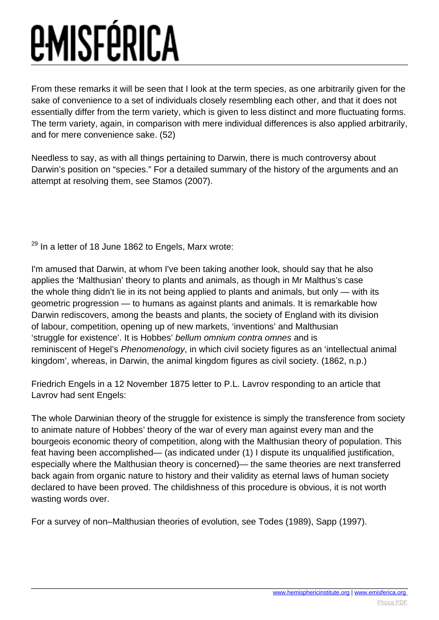From these remarks it will be seen that I look at the term species, as one arbitrarily given for the sake of convenience to a set of individuals closely resembling each other, and that it does not essentially differ from the term variety, which is given to less distinct and more fluctuating forms. The term variety, again, in comparison with mere individual differences is also applied arbitrarily, and for mere convenience sake. (52)

Needless to say, as with all things pertaining to Darwin, there is much controversy about Darwin's position on "species." For a detailed summary of the history of the arguments and an attempt at resolving them, see Stamos (2007).

<sup>29</sup> In a letter of 18 June 1862 to Engels, Marx wrote:

I'm amused that Darwin, at whom I've been taking another look, should say that he also applies the 'Malthusian' theory to plants and animals, as though in Mr Malthus's case the whole thing didn't lie in its not being applied to plants and animals, but only — with its geometric progression — to humans as against plants and animals. It is remarkable how Darwin rediscovers, among the beasts and plants, the society of England with its division of labour, competition, opening up of new markets, 'inventions' and Malthusian 'struggle for existence'. It is Hobbes' bellum omnium contra omnes and is reminiscent of Hegel's Phenomenology, in which civil society figures as an 'intellectual animal kingdom', whereas, in Darwin, the animal kingdom figures as civil society. (1862, n.p.)

Friedrich Engels in a 12 November 1875 letter to P.L. Lavrov responding to an article that Lavrov had sent Engels:

The whole Darwinian theory of the struggle for existence is simply the transference from society to animate nature of Hobbes' theory of the war of every man against every man and the bourgeois economic theory of competition, along with the Malthusian theory of population. This feat having been accomplished— (as indicated under (1) I dispute its unqualified justification, especially where the Malthusian theory is concerned)— the same theories are next transferred back again from organic nature to history and their validity as eternal laws of human society declared to have been proved. The childishness of this procedure is obvious, it is not worth wasting words over.

For a survey of non–Malthusian theories of evolution, see Todes (1989), Sapp (1997).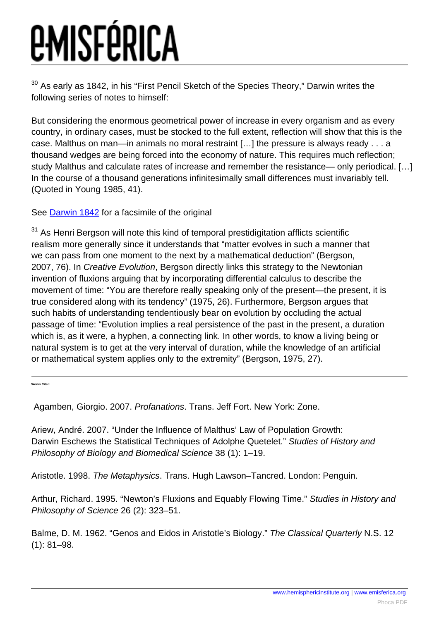$30$  As early as 1842, in his "First Pencil Sketch of the Species Theory," Darwin writes the following series of notes to himself:

But considering the enormous geometrical power of increase in every organism and as every country, in ordinary cases, must be stocked to the full extent, reflection will show that this is the case. Malthus on man—in animals no moral restraint […] the pressure is always ready . . . a thousand wedges are being forced into the economy of nature. This requires much reflection; study Malthus and calculate rates of increase and remember the resistance— only periodical. […] In the course of a thousand generations infinitesimally small differences must invariably tell. (Quoted in Young 1985, 41).

See **Darwin 1842** for a facsimile of the original

 $31$  As Henri Bergson will note this kind of temporal prestidigitation afflicts scientific realism more generally since it understands that "matter evolves in such a manner that we can pass from one moment to the next by a mathematical deduction" (Bergson, 2007, 76). In Creative Evolution, Bergson directly links this strategy to the Newtonian invention of fluxions arguing that by incorporating differential calculus to describe the movement of time: "You are therefore really speaking only of the present—the present, it is true considered along with its tendency" (1975, 26). Furthermore, Bergson argues that such habits of understanding tendentiously bear on evolution by occluding the actual passage of time: "Evolution implies a real persistence of the past in the present, a duration which is, as it were, a hyphen, a connecting link. In other words, to know a living being or natural system is to get at the very interval of duration, while the knowledge of an artificial or mathematical system applies only to the extremity" (Bergson, 1975, 27).

**Works Cited**

Agamben, Giorgio. 2007. Profanations. Trans. Jeff Fort. New York: Zone.

Ariew, André. 2007. "Under the Influence of Malthus' Law of Population Growth: Darwin Eschews the Statistical Techniques of Adolphe Quetelet." Studies of History and Philosophy of Biology and Biomedical Science 38 (1): 1–19.

Aristotle. 1998. The Metaphysics. Trans. Hugh Lawson–Tancred. London: Penguin.

Arthur, Richard. 1995. "Newton's Fluxions and Equably Flowing Time." Studies in History and Philosophy of Science 26 (2): 323–51.

Balme, D. M. 1962. "Genos and Eidos in Aristotle's Biology." The Classical Quarterly N.S. 12 (1): 81–98.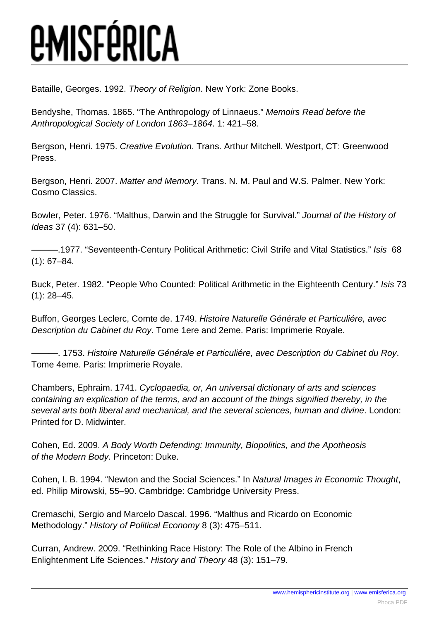Bataille, Georges. 1992. Theory of Religion. New York: Zone Books.

Bendyshe, Thomas. 1865. "The Anthropology of Linnaeus." Memoirs Read before the Anthropological Society of London 1863–1864. 1: 421–58.

Bergson, Henri. 1975. Creative Evolution. Trans. Arthur Mitchell. Westport, CT: Greenwood Press.

Bergson, Henri. 2007. Matter and Memory. Trans. N. M. Paul and W.S. Palmer. New York: Cosmo Classics.

Bowler, Peter. 1976. "Malthus, Darwin and the Struggle for Survival." Journal of the History of Ideas 37 (4): 631–50.

———.1977. "Seventeenth-Century Political Arithmetic: Civil Strife and Vital Statistics." Isis 68 (1): 67–84.

Buck, Peter. 1982. "People Who Counted: Political Arithmetic in the Eighteenth Century." Isis 73 (1): 28–45.

Buffon, Georges Leclerc, Comte de. 1749. Histoire Naturelle Générale et Particuliére, avec Description du Cabinet du Roy. Tome 1ere and 2eme. Paris: Imprimerie Royale.

———. 1753. Histoire Naturelle Générale et Particuliére, avec Description du Cabinet du Roy. Tome 4eme. Paris: Imprimerie Royale.

Chambers, Ephraim. 1741. Cyclopaedia, or, An universal dictionary of arts and sciences containing an explication of the terms, and an account of the things signified thereby, in the several arts both liberal and mechanical, and the several sciences, human and divine. London: Printed for D. Midwinter.

Cohen, Ed. 2009. A Body Worth Defending: Immunity, Biopolitics, and the Apotheosis of the Modern Body. Princeton: Duke.

Cohen, I. B. 1994. "Newton and the Social Sciences." In Natural Images in Economic Thought, ed. Philip Mirowski, 55–90. Cambridge: Cambridge University Press.

Cremaschi, Sergio and Marcelo Dascal. 1996. "Malthus and Ricardo on Economic Methodology." History of Political Economy 8 (3): 475–511.

Curran, Andrew. 2009. "Rethinking Race History: The Role of the Albino in French Enlightenment Life Sciences." History and Theory 48 (3): 151–79.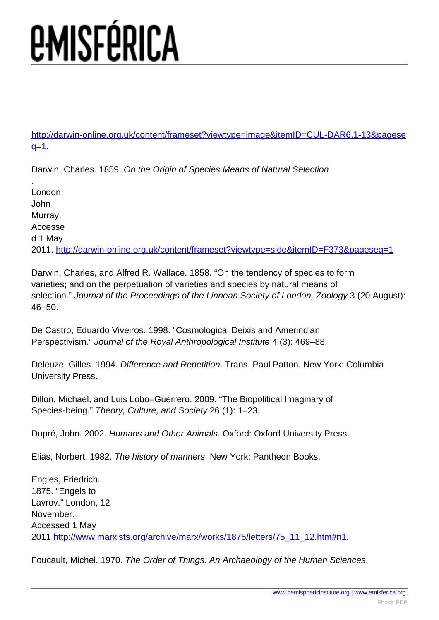[http://darwin-online.org.uk/content/frameset?viewtype=image&itemID=CUL-DAR6.1-13&pagese](http://darwin-online.org.uk/content/frameset?viewtype=image&itemID=CUL-DAR6.1-13&pageseq=1)  $q=1$ .

Darwin, Charles. 1859. On the Origin of Species Means of Natural Selection

. London: John Murray. Accesse d 1 May 2011. <http://darwin-online.org.uk/content/frameset?viewtype=side&itemID=F373&pageseq=1>

Darwin, Charles, and Alfred R. Wallace. 1858. "On the tendency of species to form varieties; and on the perpetuation of varieties and species by natural means of selection." Journal of the Proceedings of the Linnean Society of London, Zoology 3 (20 August): 46–50.

De Castro, Eduardo Viveiros. 1998. "Cosmological Deixis and Amerindian Perspectivism." Journal of the Royal Anthropological Institute 4 (3): 469–88.

Deleuze, Gilles. 1994. Difference and Repetition. Trans. Paul Patton. New York: Columbia University Press.

Dillon, Michael, and Luis Lobo–Guerrero. 2009. "The Biopolitical Imaginary of Species-being." Theory, Culture, and Society 26 (1): 1–23.

Dupré, John. 2002. Humans and Other Animals. Oxford: Oxford University Press.

Elias, Norbert. 1982. The history of manners. New York: Pantheon Books.

Engles, Friedrich. 1875. "Engels to Lavrov." London, 12 November. Accessed 1 May 2011 [http://www.marxists.org/archive/marx/works/1875/letters/75\\_11\\_12.htm#n1](http://www.marxists.org/archive/marx/works/1875/letters/75_11_12.htm#n1).

Foucault, Michel. 1970. The Order of Things: An Archaeology of the Human Sciences.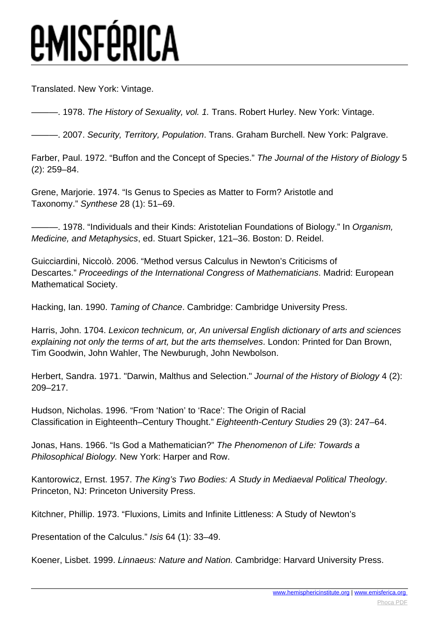Translated. New York: Vintage.

-. 1978. The History of Sexuality, vol. 1. Trans. Robert Hurley. New York: Vintage.

 $-$ . 2007. Security, Territory, Population. Trans. Graham Burchell. New York: Palgrave.

Farber, Paul. 1972. "Buffon and the Concept of Species." The Journal of the History of Biology 5 (2): 259–84.

Grene, Marjorie. 1974. "Is Genus to Species as Matter to Form? Aristotle and Taxonomy." Synthese 28 (1): 51–69.

 $-$ . 1978. "Individuals and their Kinds: Aristotelian Foundations of Biology." In Organism, Medicine, and Metaphysics, ed. Stuart Spicker, 121–36. Boston: D. Reidel.

Guicciardini, Niccolò. 2006. "Method versus Calculus in Newton's Criticisms of Descartes." Proceedings of the International Congress of Mathematicians. Madrid: European Mathematical Society.

Hacking, Ian. 1990. Taming of Chance. Cambridge: Cambridge University Press.

Harris, John. 1704. Lexicon technicum, or, An universal English dictionary of arts and sciences explaining not only the terms of art, but the arts themselves. London: Printed for Dan Brown, Tim Goodwin, John Wahler, The Newburugh, John Newbolson.

Herbert, Sandra. 1971. "Darwin, Malthus and Selection." Journal of the History of Biology 4 (2): 209–217.

Hudson, Nicholas. 1996. "From 'Nation' to 'Race': The Origin of Racial Classification in Eighteenth–Century Thought." Eighteenth-Century Studies 29 (3): 247–64.

Jonas, Hans. 1966. "Is God a Mathematician?" The Phenomenon of Life: Towards a Philosophical Biology. New York: Harper and Row.

Kantorowicz, Ernst. 1957. The King's Two Bodies: A Study in Mediaeval Political Theology. Princeton, NJ: Princeton University Press.

Kitchner, Phillip. 1973. "Fluxions, Limits and Infinite Littleness: A Study of Newton's

Presentation of the Calculus." Isis 64 (1): 33–49.

Koener, Lisbet. 1999. Linnaeus: Nature and Nation. Cambridge: Harvard University Press.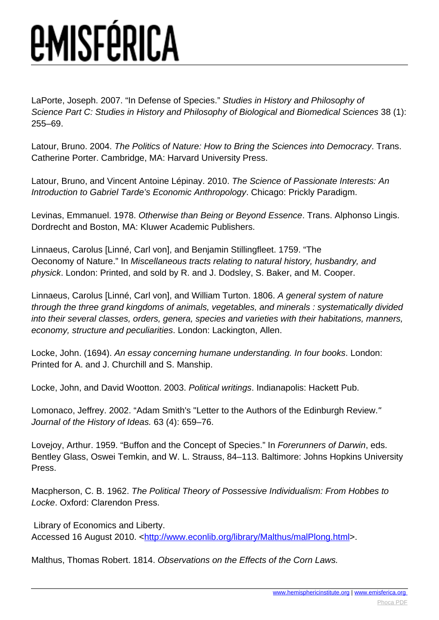LaPorte, Joseph. 2007. "In Defense of Species." Studies in History and Philosophy of Science Part C: Studies in History and Philosophy of Biological and Biomedical Sciences 38 (1): 255–69.

Latour, Bruno. 2004. The Politics of Nature: How to Bring the Sciences into Democracy. Trans. Catherine Porter. Cambridge, MA: Harvard University Press.

Latour, Bruno, and Vincent Antoine Lépinay. 2010. The Science of Passionate Interests: An Introduction to Gabriel Tarde's Economic Anthropology. Chicago: Prickly Paradigm.

Levinas, Emmanuel. 1978. Otherwise than Being or Beyond Essence. Trans. Alphonso Lingis. Dordrecht and Boston, MA: Kluwer Academic Publishers.

Linnaeus, Carolus [Linné, Carl von], and Benjamin Stillingfleet. 1759. "The Oeconomy of Nature." In Miscellaneous tracts relating to natural history, husbandry, and physick. London: Printed, and sold by R. and J. Dodsley, S. Baker, and M. Cooper.

Linnaeus, Carolus [Linné, Carl von], and William Turton. 1806. A general system of nature through the three grand kingdoms of animals, vegetables, and minerals : systematically divided into their several classes, orders, genera, species and varieties with their habitations, manners, economy, structure and peculiarities. London: Lackington, Allen.

Locke, John. (1694). An essay concerning humane understanding. In four books. London: Printed for A. and J. Churchill and S. Manship.

Locke, John, and David Wootton. 2003. Political writings. Indianapolis: Hackett Pub.

Lomonaco, Jeffrey. 2002. "Adam Smith's "Letter to the Authors of the Edinburgh Review." Journal of the History of Ideas. 63 (4): 659–76.

Lovejoy, Arthur. 1959. "Buffon and the Concept of Species." In Forerunners of Darwin, eds. Bentley Glass, Oswei Temkin, and W. L. Strauss, 84–113. Baltimore: Johns Hopkins University Press.

Macpherson, C. B. 1962. The Political Theory of Possessive Individualism: From Hobbes to Locke. Oxford: Clarendon Press.

 Library of Economics and Liberty. Accessed 16 August 2010. <<http://www.econlib.org/library/Malthus/malPlong.html>>.

Malthus, Thomas Robert. 1814. Observations on the Effects of the Corn Laws.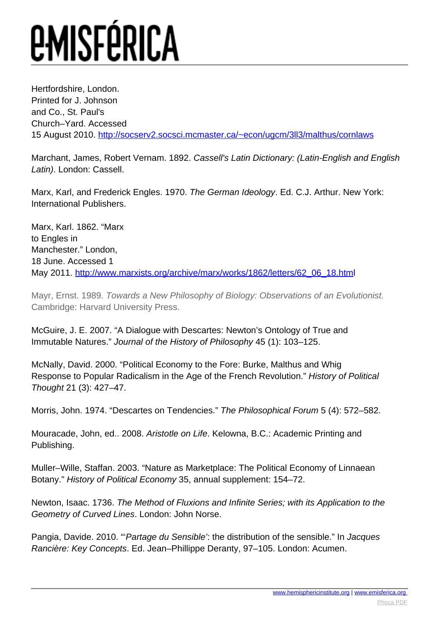Hertfordshire, London. Printed for J. Johnson and Co., St. Paul's Church–Yard. Accessed 15 August 2010. <http://socserv2.socsci.mcmaster.ca/~econ/ugcm/3ll3/malthus/cornlaws>

Marchant, James, Robert Vernam. 1892. Cassell's Latin Dictionary: (Latin-English and English Latin). London: Cassell.

Marx, Karl, and Frederick Engles. 1970. The German Ideology. Ed. C.J. Arthur. New York: International Publishers.

Marx, Karl. 1862. "Marx to Engles in Manchester." London, 18 June. Accessed 1 May 2011. [http://www.marxists.org/archive/marx/works/1862/letters/62\\_06\\_18.htm](http://www.marxists.org/archive/marx/works/1862/letters/62_06_18.htm)l

Mayr, Ernst. 1989. Towards a New Philosophy of Biology: Observations of an Evolutionist. Cambridge: Harvard University Press.

McGuire, J. E. 2007. "A Dialogue with Descartes: Newton's Ontology of True and Immutable Natures." Journal of the History of Philosophy 45 (1): 103–125.

McNally, David. 2000. "Political Economy to the Fore: Burke, Malthus and Whig Response to Popular Radicalism in the Age of the French Revolution." History of Political Thought 21 (3): 427–47.

Morris, John. 1974. "Descartes on Tendencies." The Philosophical Forum 5 (4): 572–582.

Mouracade, John, ed.. 2008. Aristotle on Life. Kelowna, B.C.: Academic Printing and Publishing.

Muller–Wille, Staffan. 2003. "Nature as Marketplace: The Political Economy of Linnaean Botany." History of Political Economy 35, annual supplement: 154–72.

Newton, Isaac. 1736. The Method of Fluxions and Infinite Series; with its Application to the Geometry of Curved Lines. London: John Norse.

Pangia, Davide. 2010. "'Partage du Sensible': the distribution of the sensible." In Jacques Rancière: Key Concepts. Ed. Jean–Phillippe Deranty, 97–105. London: Acumen.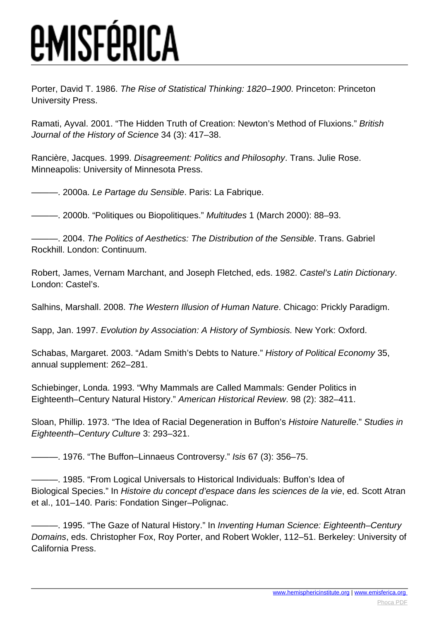Porter, David T. 1986. The Rise of Statistical Thinking: 1820–1900. Princeton: Princeton University Press.

Ramati, Ayval. 2001. "The Hidden Truth of Creation: Newton's Method of Fluxions." British Journal of the History of Science 34 (3): 417–38.

Rancière, Jacques. 1999. Disagreement: Politics and Philosophy. Trans. Julie Rose. Minneapolis: University of Minnesota Press.

—. 2000a. Le Partage du Sensible. Paris: La Fabrique.

—. 2000b. "Politiques ou Biopolitiques." Multitudes 1 (March 2000): 88-93.

- 2004. The Politics of Aesthetics: The Distribution of the Sensible. Trans. Gabriel Rockhill. London: Continuum.

Robert, James, Vernam Marchant, and Joseph Fletched, eds. 1982. Castel's Latin Dictionary. London: Castel's.

Salhins, Marshall. 2008. The Western Illusion of Human Nature. Chicago: Prickly Paradigm.

Sapp, Jan. 1997. Evolution by Association: A History of Symbiosis. New York: Oxford.

Schabas, Margaret. 2003. "Adam Smith's Debts to Nature." History of Political Economy 35, annual supplement: 262–281.

Schiebinger, Londa. 1993. "Why Mammals are Called Mammals: Gender Politics in Eighteenth–Century Natural History." American Historical Review. 98 (2): 382–411.

Sloan, Phillip. 1973. "The Idea of Racial Degeneration in Buffon's Histoire Naturelle." Studies in Eighteenth–Century Culture 3: 293–321.

———. 1976. "The Buffon–Linnaeus Controversy." Isis 67 (3): 356–75.

———. 1985. "From Logical Universals to Historical Individuals: Buffon's Idea of Biological Species." In Histoire du concept d'espace dans les sciences de la vie, ed. Scott Atran et al., 101–140. Paris: Fondation Singer–Polignac.

–. 1995. "The Gaze of Natural History." In Inventing Human Science: Eighteenth–Century Domains, eds. Christopher Fox, Roy Porter, and Robert Wokler, 112–51. Berkeley: University of California Press.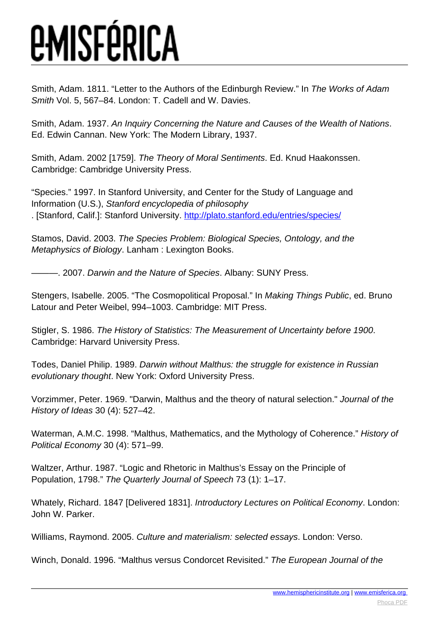Smith, Adam. 1811. "Letter to the Authors of the Edinburgh Review." In The Works of Adam Smith Vol. 5, 567–84. London: T. Cadell and W. Davies.

Smith, Adam. 1937. An Inquiry Concerning the Nature and Causes of the Wealth of Nations. Ed. Edwin Cannan. New York: The Modern Library, 1937.

Smith, Adam. 2002 [1759]. The Theory of Moral Sentiments. Ed. Knud Haakonssen. Cambridge: Cambridge University Press.

"Species." 1997. In Stanford University, and Center for the Study of Language and Information (U.S.), Stanford encyclopedia of philosophy . [Stanford, Calif.]: Stanford University. <http://plato.stanford.edu/entries/species/>

Stamos, David. 2003. The Species Problem: Biological Species, Ontology, and the Metaphysics of Biology. Lanham : Lexington Books.

-. 2007. Darwin and the Nature of Species. Albany: SUNY Press.

Stengers, Isabelle. 2005. "The Cosmopolitical Proposal." In Making Things Public, ed. Bruno Latour and Peter Weibel, 994–1003. Cambridge: MIT Press.

Stigler, S. 1986. The History of Statistics: The Measurement of Uncertainty before 1900. Cambridge: Harvard University Press.

Todes, Daniel Philip. 1989. Darwin without Malthus: the struggle for existence in Russian evolutionary thought. New York: Oxford University Press.

Vorzimmer, Peter. 1969. "Darwin, Malthus and the theory of natural selection." Journal of the History of Ideas 30 (4): 527–42.

Waterman, A.M.C. 1998. "Malthus, Mathematics, and the Mythology of Coherence." History of Political Economy 30 (4): 571–99.

Waltzer, Arthur. 1987. "Logic and Rhetoric in Malthus's Essay on the Principle of Population, 1798." The Quarterly Journal of Speech 73 (1): 1–17.

Whately, Richard. 1847 [Delivered 1831]. Introductory Lectures on Political Economy. London: John W. Parker.

Williams, Raymond. 2005. Culture and materialism: selected essays. London: Verso.

Winch, Donald. 1996. "Malthus versus Condorcet Revisited." The European Journal of the